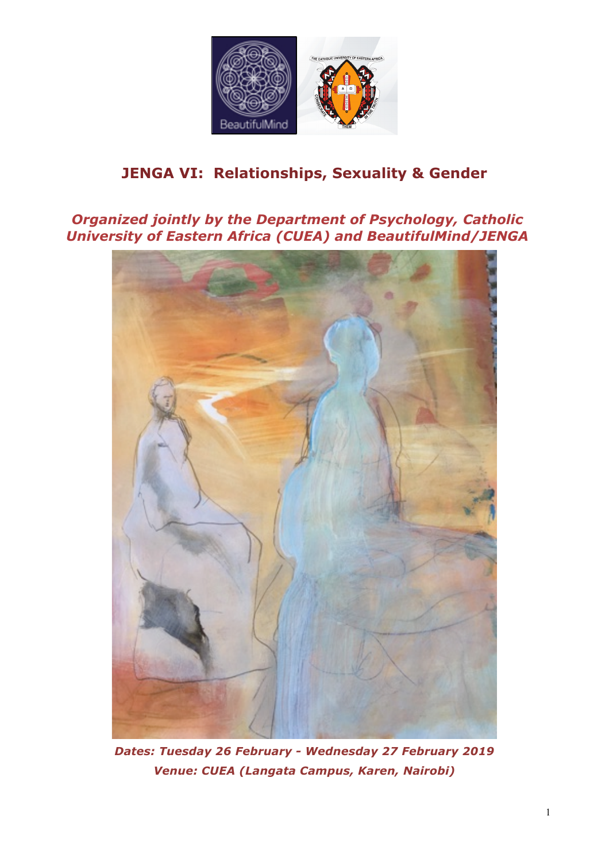

## **JENGA VI: Relationships, Sexuality & Gender**

*Organized jointly by the Department of Psychology, Catholic University of Eastern Africa (CUEA) and BeautifulMind/JENGA*



*Dates: Tuesday 26 February - Wednesday 27 February 2019 Venue: CUEA (Langata Campus, Karen, Nairobi)*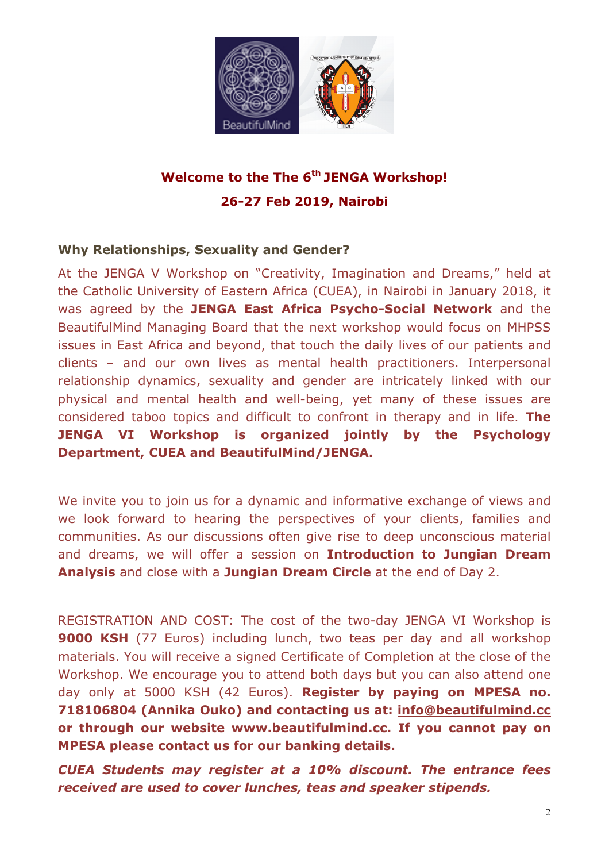

# **Welcome to the The 6th JENGA Workshop! 26-27 Feb 2019, Nairobi**

#### **Why Relationships, Sexuality and Gender?**

At the JENGA V Workshop on "Creativity, Imagination and Dreams," held at the Catholic University of Eastern Africa (CUEA), in Nairobi in January 2018, it was agreed by the **JENGA East Africa Psycho-Social Network** and the BeautifulMind Managing Board that the next workshop would focus on MHPSS issues in East Africa and beyond, that touch the daily lives of our patients and clients – and our own lives as mental health practitioners. Interpersonal relationship dynamics, sexuality and gender are intricately linked with our physical and mental health and well-being, yet many of these issues are considered taboo topics and difficult to confront in therapy and in life. **The JENGA VI Workshop is organized jointly by the Psychology Department, CUEA and BeautifulMind/JENGA.** 

We invite you to join us for a dynamic and informative exchange of views and we look forward to hearing the perspectives of your clients, families and communities. As our discussions often give rise to deep unconscious material and dreams, we will offer a session on **Introduction to Jungian Dream Analysis** and close with a **Jungian Dream Circle** at the end of Day 2.

REGISTRATION AND COST: The cost of the two-day JENGA VI Workshop is **9000 KSH** (77 Euros) including lunch, two teas per day and all workshop materials. You will receive a signed Certificate of Completion at the close of the Workshop. We encourage you to attend both days but you can also attend one day only at 5000 KSH (42 Euros). **Register by paying on MPESA no. 718106804 (Annika Ouko) and contacting us at: info@beautifulmind.cc or through our website www.beautifulmind.cc. If you cannot pay on MPESA please contact us for our banking details.** 

*CUEA Students may register at a 10% discount. The entrance fees received are used to cover lunches, teas and speaker stipends.*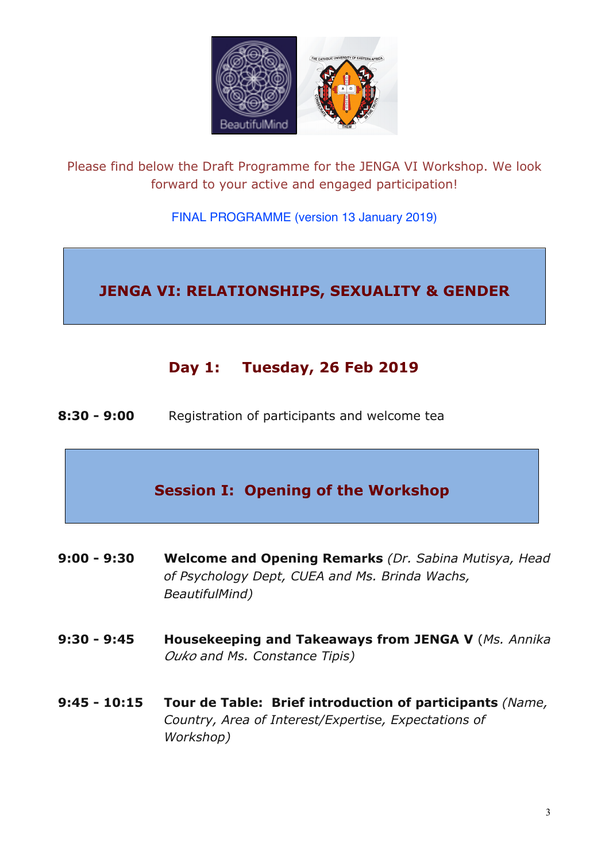

Please find below the Draft Programme for the JENGA VI Workshop. We look forward to your active and engaged participation!

#### FINAL PROGRAMME (version 13 January 2019)

## **JENGA VI: RELATIONSHIPS, SEXUALITY & GENDER**

## **Day 1: Tuesday, 26 Feb 2019**

**8:30 - 9:00** Registration of participants and welcome tea

## **Session I: Opening of the Workshop**

- **9:00 - 9:30 Welcome and Opening Remarks** *(Dr. Sabina Mutisya, Head of Psychology Dept, CUEA and Ms. Brinda Wachs, BeautifulMind)*
- **9:30 - 9:45 Housekeeping and Takeaways from JENGA V** (*Ms. Annika Ouko and Ms. Constance Tipis)*
- **9:45 - 10:15 Tour de Table: Brief introduction of participants** *(Name, Country, Area of Interest/Expertise, Expectations of Workshop)*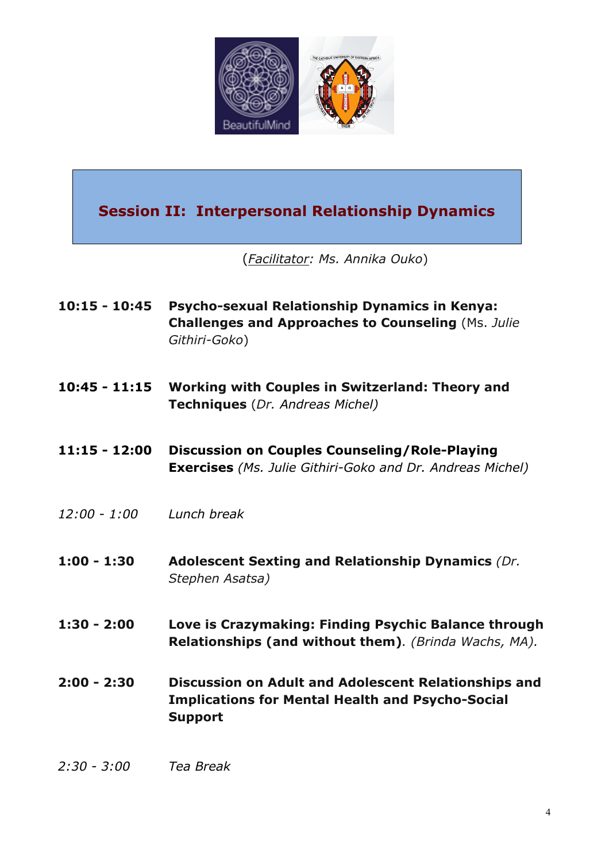

## **Session II: Interpersonal Relationship Dynamics**

(*Facilitator: Ms. Annika Ouko*)

- **10:15 - 10:45 Psycho-sexual Relationship Dynamics in Kenya: Challenges and Approaches to Counseling** (Ms. *Julie Githiri-Goko*)
- **10:45 - 11:15 Working with Couples in Switzerland: Theory and Techniques** (*Dr. Andreas Michel)*
- **11:15 - 12:00 Discussion on Couples Counseling/Role-Playing Exercises** *(Ms. Julie Githiri-Goko and Dr. Andreas Michel)*
- *12:00 - 1:00 Lunch break*
- **1:00 - 1:30 Adolescent Sexting and Relationship Dynamics** *(Dr. Stephen Asatsa)*
- **1:30 - 2:00 Love is Crazymaking: Finding Psychic Balance through Relationships (and without them)***. (Brinda Wachs, MA).*
- **2:00 - 2:30 Discussion on Adult and Adolescent Relationships and Implications for Mental Health and Psycho-Social Support**
- *2:30 - 3:00 Tea Break*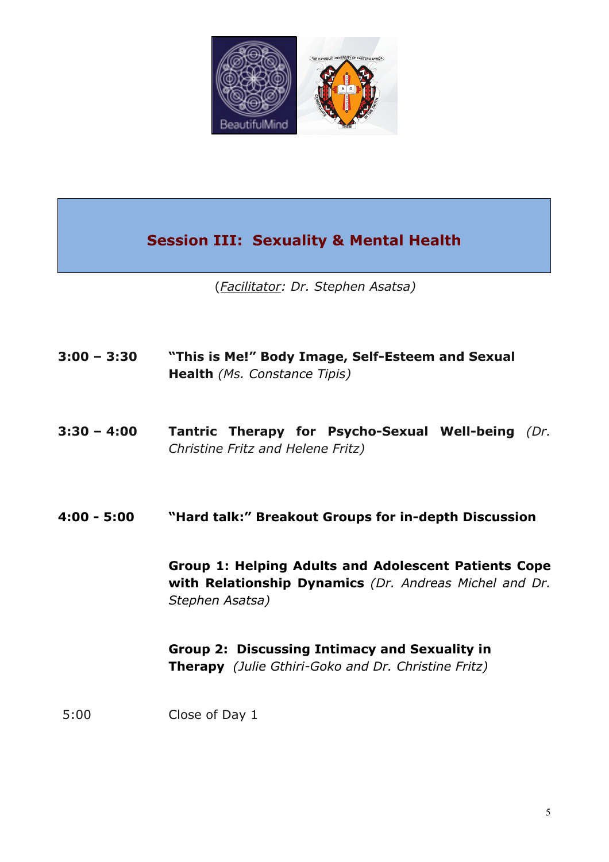

# **Session III: Sexuality & Mental Health**

(*Facilitator: Dr. Stephen Asatsa)*

| $3:00 - 3:30$ | "This is Me!" Body Image, Self-Esteem and Sexual<br><b>Health</b> (Ms. Constance Tipis)                                                  |
|---------------|------------------------------------------------------------------------------------------------------------------------------------------|
| $3:30 - 4:00$ | <b>Tantric Therapy for Psycho-Sexual Well-being (Dr.</b><br>Christine Fritz and Helene Fritz)                                            |
| 4:00 - 5:00   | "Hard talk:" Breakout Groups for in-depth Discussion                                                                                     |
|               | <b>Group 1: Helping Adults and Adolescent Patients Cope</b><br>with Relationship Dynamics (Dr. Andreas Michel and Dr.<br>Stephen Asatsa) |
|               | Group 2: Discussing Intimacy and Sexuality in<br>Therapy (Julie Gthiri-Goko and Dr. Christine Fritz)                                     |
| 5:00          | Close of Day 1                                                                                                                           |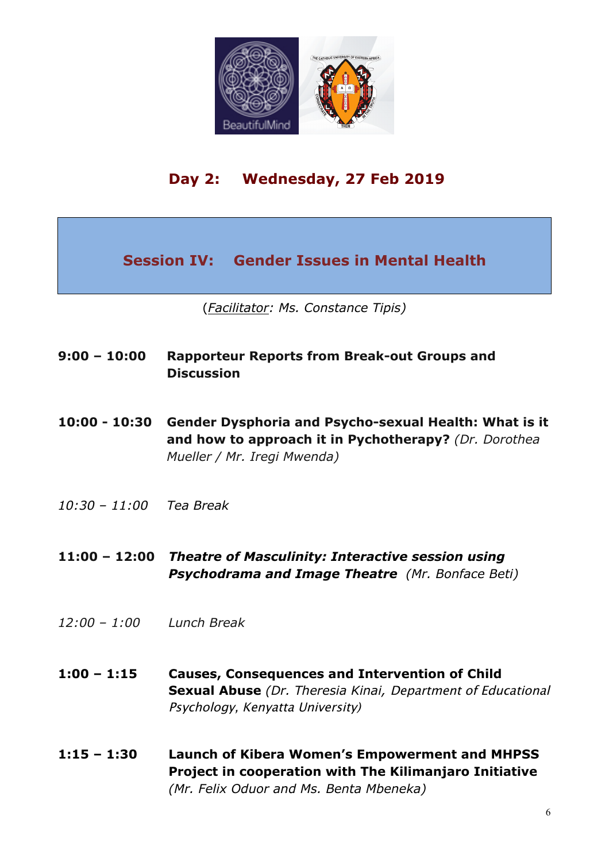

# **Day 2: Wednesday, 27 Feb 2019**

**Session IV: Gender Issues in Mental Health**

(*Facilitator: Ms. Constance Tipis)*

#### **9:00 – 10:00 Rapporteur Reports from Break-out Groups and Discussion**

- **10:00 - 10:30 Gender Dysphoria and Psycho-sexual Health: What is it and how to approach it in Pychotherapy?** *(Dr. Dorothea Mueller / Mr. Iregi Mwenda)*
- *10:30 – 11:00 Tea Break*
- **11:00 – 12:00** *Theatre of Masculinity: Interactive session using Psychodrama and Image Theatre (Mr. Bonface Beti)*
- *12:00 – 1:00 Lunch Break*
- **1:00 – 1:15 Causes, Consequences and Intervention of Child Sexual Abuse** *(Dr. Theresia Kinai,* Department of Educational Psychology, Kenyatta University)
- **1:15 – 1:30 Launch of Kibera Women's Empowerment and MHPSS Project in cooperation with The Kilimanjaro Initiative**  *(Mr. Felix Oduor and Ms. Benta Mbeneka)*